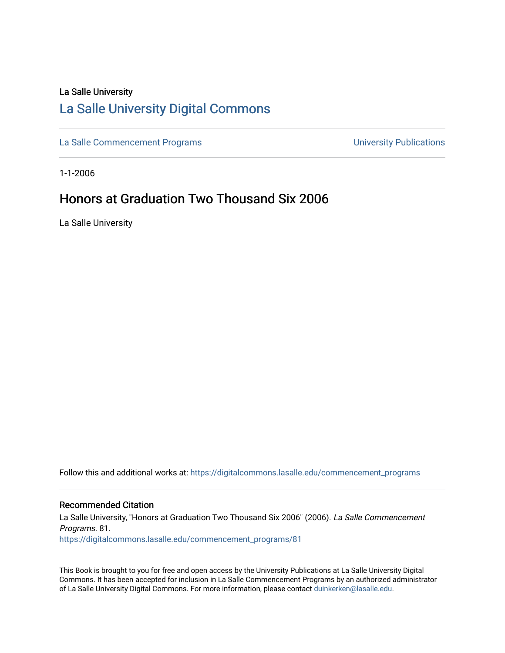# La Salle University [La Salle University Digital Commons](https://digitalcommons.lasalle.edu/)

[La Salle Commencement Programs](https://digitalcommons.lasalle.edu/commencement_programs) **Exercise 2018** University Publications

1-1-2006

# Honors at Graduation Two Thousand Six 2006

La Salle University

Follow this and additional works at: [https://digitalcommons.lasalle.edu/commencement\\_programs](https://digitalcommons.lasalle.edu/commencement_programs?utm_source=digitalcommons.lasalle.edu%2Fcommencement_programs%2F81&utm_medium=PDF&utm_campaign=PDFCoverPages) 

## Recommended Citation

La Salle University, "Honors at Graduation Two Thousand Six 2006" (2006). La Salle Commencement Programs. 81. [https://digitalcommons.lasalle.edu/commencement\\_programs/81](https://digitalcommons.lasalle.edu/commencement_programs/81?utm_source=digitalcommons.lasalle.edu%2Fcommencement_programs%2F81&utm_medium=PDF&utm_campaign=PDFCoverPages)

This Book is brought to you for free and open access by the University Publications at La Salle University Digital Commons. It has been accepted for inclusion in La Salle Commencement Programs by an authorized administrator of La Salle University Digital Commons. For more information, please contact [duinkerken@lasalle.edu.](mailto:duinkerken@lasalle.edu)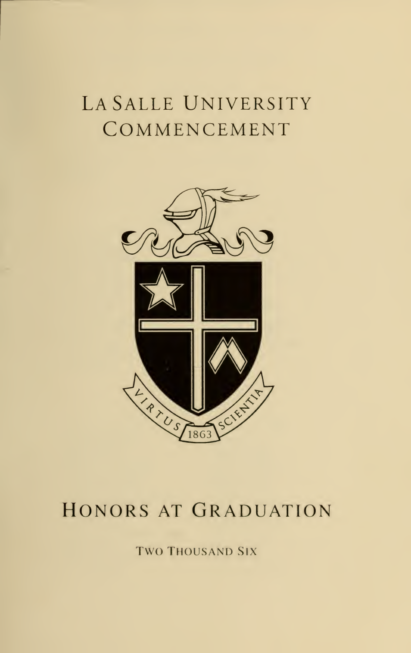## LA SALLE UNIVERSITY COMMENCEMENT



## HONORS AT GRADUATION

**TWO THOUSAND SIX**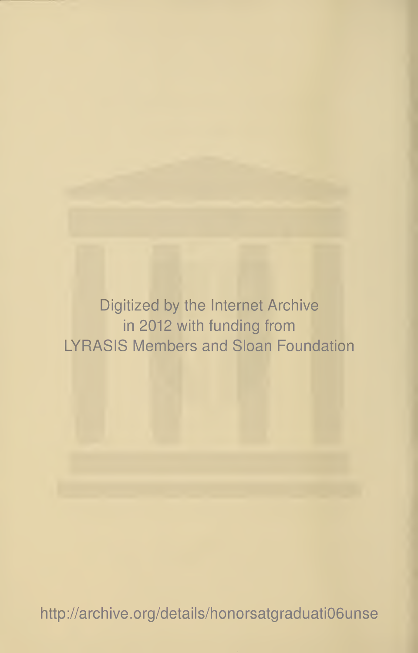Digitized by the Internet Archive in 2012 with funding from LYRASIS Members and Sloan Foundation

http://archive.org/details/honorsatgraduati06unse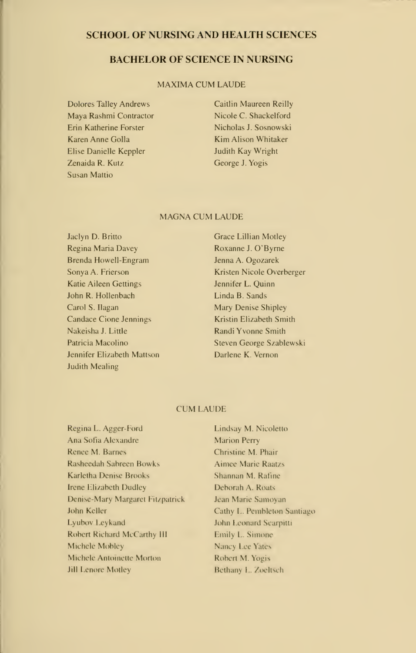### SCHOOL OF NURSING AND HEALTH SCIENCES

## BACHELOR OF SCIENCE IN NURSING

#### MAXIMA CUM LAUDE

- Dolores Talley Andrews Maya Rashmi Contractor Erin Katherine Forster Karen Anne Golla Elise Danielle Keppler Zenaida R. Kutz Susan Mattio
- Caitlin Maureen Reillv Nicole C. Shackelford Nicholas J. Sosnowski Kim Alison Whitaker Judith Kay Wright George J. Yogis

#### MAGNA CUM LAUDE

Jaclyn D. Britto Regina Maria Davey Brenda Howell-Engram Sonya A. Frierson Katie Aileen Gettings John R. Hollenbach Carol S. Ilagan Candace Cione Jennings NakeishaJ. Little Patricia Macolino Jennifer Elizabeth Mattson Judith Mealing

Grace Lillian Motley Roxanne J. O'Byrne Jenna A. Ogozarek Kristen Nicole Overberger Jennifer L. Quinn Linda B. Sands Mary Denise Shipley Kristin Elizabeth Smith Randi Yvonne Smith Steven George Szablewski Darlene K. Vernon

#### CUM LAUDE

Regina L. Agger-Ford Ana Sofia Alexandre Renee M. Barnes Rasheedah Sabreen Bowks Karletha Denise Brooks Irene Elizabeth Dudley Denise-Mary Margaret Fitzpatrick John Keller Lyubov Leykand Robert Richard McCarthy III Michele Mobley Michele Antoinette Morton Jill Lenore Motley

Lindsay M. Nicoletto Marion Perry Christine M. Phair Aimee Marie Raatzs Shannan M. Rafine Deborah A. Roats Jean Marie Samoyan Cathy L. Pembleton Santiago John <sup>I</sup> eonard Scarpitti Emily L. Simone Nancy Lee Yates Robert M. Yogis Bethany L. Zoeltsch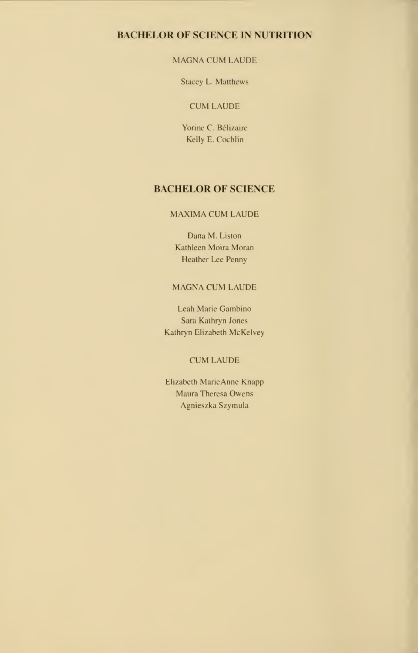## BACHELOR OF SCIENCE IN NUTRITION

## MAGNA CUM LAUDE

Stacey I.. Matthews

## CUM LAUDE

Yorine C. Bélizaire Kelly E. Cochlin

## BACHELOR OF SCIENCE

### MAXIMA CUM LAUDE

Dana M. Liston Kathleen Moira Moran Heather Lee Penny

### MAGNA CUM LAUDE

Leah Marie Gambino Sara Kathryn Jones Kathryn Elizabeth McKelvey

## CUM LAUDE

Elizabeth MarieAnne Knapp Maura Theresa Owens Agnieszka Szymula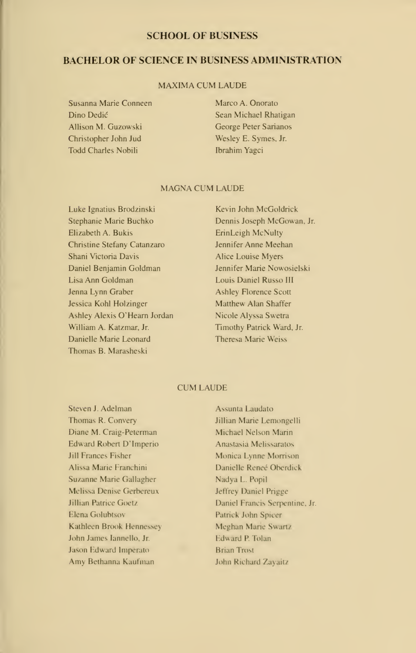#### SCHOOL OF BUSINESS

## BACHELOR OF SCIENCE IN BUSINESS ADMINISTRATION

#### MAXIMA CUM LAUDE

- Susanna Marie Conneen Dino Dedic Allison M. Guzowski Christopher John Jud Todd Charles Nobili
- Marco A. Onorato Sean Michael Rhatigan George Peter Sarianos Wesley E. Symes. Jr. Ibrahim Yagci

#### MAGNA CUM LAUDE

Luke Ignatius Brodzinski Stephanie Marie Buchko Elizabeth A. Bukis Christine Stefany Catanzaro Shani Victoria Davis Daniel Benjamin Goldman Lisa Ann Goldman Jenna Lynn Graber Jessica Kohl Holzinger Ashley Alexis O'Hearn Jordan William A. Katzmar, Jr. Danielle Marie Leonard Thomas B.Marasheski

Kevin John McGoIdrick Dennis Joseph McGowan. Jr. ErinLeigh McNuIty Jennifer Anne Meehan Alice Louise Myers Jennifer Marie Nowosielski Louis Daniel Russo III Ashley Florence Scott Matthew Alan Shaffer Nicole Alyssa Swetra Timothy Patrick Ward. Jr. Theresa Marie Weiss

#### CUM LAUDE

Steven J. Adelman Thomas R. Convery Diane M. Craig-Peterman Edward Robert D'lmperio Jill Frances Fisher Alissa Marie Franchini Suzanne Marie Gallagher Melissa Denise Gerbereux Jillian Patrice Goetz Elena Golubtsov Kathleen Brook Hennessey John James Iannello. Jr. Jason Edward Imperato Amy Bethanna Kaufman

Assunta Laudato Jillian Marie Lemongelli Michael Nelson Marin Anastasia Mclissaratos Monica Lynne Morrison Danielle Reneé Oberdick Nadya L. Popil Jeffrey Daniel Prigge Daniel Francis Serpentine, Jr. Patrick John Spicer Meghan Marie Swartz Edward P. Ioian **Brian Trost** John Richard Zayaitz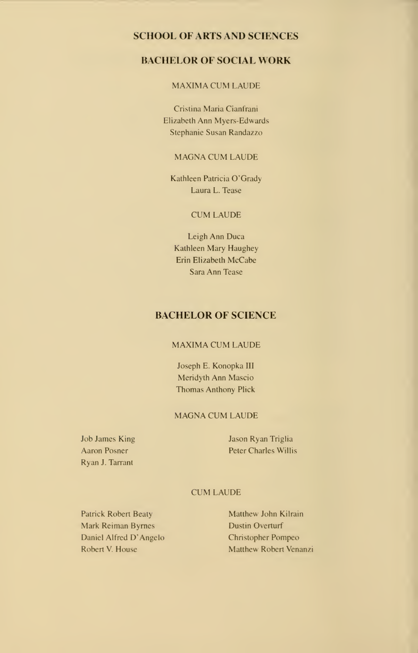## SCHOOL OF ARTS AND SCIENCES

## BACHELOR OF SOCIAL WORK

#### MAXIMA CUM LAUDE

Cristina Maria Cianfrani Elizabeth Ann Myers-Edwards Stephanie Susan Randazzo

#### MAGNA CUM LAUDE

Kathleen Patricia O'Grady Laura L. Tease

### CUM LAUDE

Leigh Ann Duca Kathleen Mary Haughey Erin Elizabeth McCabe Sara Ann Tease

## BACHELOR OF SCIENCE

#### MAXIMA CUM LAUDE

Joseph E. Konopka III Meridyth Ann Mascio Thomas Anthony Plick

#### MAGNA CUM LAUDE

Job James King Aaron Posner Ryan J. Tarrant

Jason Ryan Triglia Peter Charles Willis

## CUM LAUDE

Patrick Robert Beaty Mark Reiman Byrnes Daniel Alfred D'Angelo Robert V. House

Matthew John Kilrain Dustin Overturf Christopher Pompeo Matthew Robert Venanzi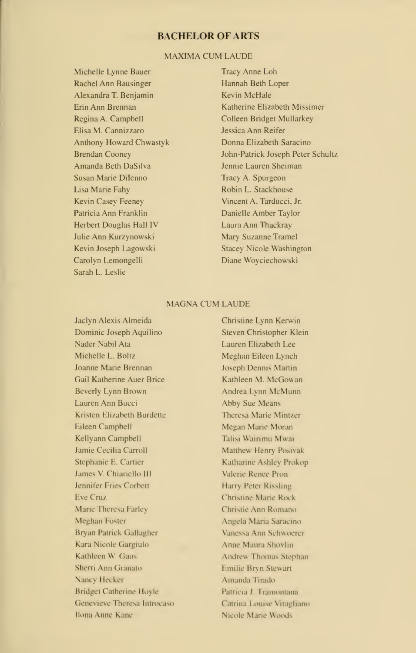## BACHELOR OF ARTS

#### MAXIMA CUM LAUDE

Michelle Lynne Bauer Rachel Ann Bausinger Alexandra T.Benjamin Erin Ann Brennan Regina A. Campbell Elisa M. Cannizzaro Anthony Howard Chwastyk Brendan Cooney Amanda Beth DaSilva Susan Marie Dilenno Lisa Marie Fahy Kevin Casey Feeney Patricia Ann Franklin Herbert Douglas Hall IV Julie Ann Kurzynowski Kevin Joseph Lagowski Carolyn Lemongelli Sarah L. Leslie

Tracy Anne Loh Hannah Beth Loper Kevin McHale Katherine Elizabeth Missimer Colleen Bridget Mullarkey Jessica Ann Reifer Donna Elizabeth Saracino John-Patrick Joseph Peter Schultz Jennie Lauren Sheiman Tracy A. Spurgeon Robin L. Stackhouse Vincent A. Tarducci, Jr.Danielle Amber Taylor Laura Ann Thackray Mary Suzanne Tramel Stacey Nicole Washington Diane Woyciechowski

#### MAGNA CUM LAUDE

Jaclyn Alexis Almeida Dominic Joseph Aquilino Nader Nabil Ata Michelle L. Boltz Joanne Marie Brennan Gail Katherine Auer Brice Beverly Lynn Brown Lauren Ann Bucci Kristen Elizabeth Burdette Eileen Campbell Kellyann Campbell Jamie Cecilia Carroll Stephanie E. Cartier James V. Chiariello III Jennifer Fries Corbett Eve Cruz Marie Theresa Farley Meghan Foster Bryan Patrick Gallagher Kara Nicole Gargiulo Kathleen W. Gaus Sherri Ann Granato Nancy Hecker Bridget Catherine Hoyle Genevieve Theresa Introcaso Ilona Anne Kane

Christine Lynn Kerwin Steven Christopher Klein Lauren Elizabeth Lee Meghan Eileen Lynch Joseph Dennis Martin Kathleen M. McGowan Andrea Lynn McMunn **Abby Sue Means** Theresa Marie Mintzer Megan Marie Moran Talisi Wairimu Mwai Matthew Henry Posivak Katharine Ashley Prokop Valerie Renee Pron Harry Peter Rissling Christine Mane Rock Christie Ann Romano Angela Maria Saracino Vanessa Ann Schwoerer Anne Maura Shoylin Andrew Thomas Stephan Emilie Bryn Stewart Amanda Tirado Patricia J. Tramontana Catrina Louise Vitagliano Nicole Marie Woods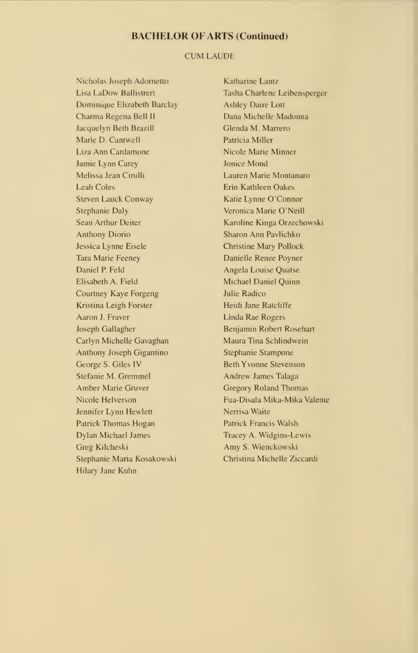### BACHELOR OF ARTS (Continued)

## CUM LAUDE

Nicholas Joseph Adornetto <sup>I</sup> isa <sup>I</sup> aDovi Ballistreri Dominique Elizabeth Barclay Charma Regena Bell II Jacquelyn Beth Brazill Marie D. Cantwell Liza Ann Cardamone Jamie Lynn Carey Melissa Jean Cirulli Leah Coles Steven Lauck Conway Stephanie Daly Sean Arthur Deiter Anthony Diorio Jessica Lynne Eisele Tara Marie Feeney Daniel P. Feld Elisabeth A. Field Courtney Kaye Forgeng Kristina Leigh Forster Aaron J. Fraver Joseph Gallagher Carlyn Michelle Gavaghan Anthony Joseph Gigantino George S.Giles IV Stefanie M. Gremmel Amber Marie Gruver Nicole Helverson Jennifer Lynn Hewlett Patrick Thomas Hogan Dylan Michael James Greg Kilcheski Stephanie Maria Kosakowski Hilary Jane Kuhn

Katharine Lantz Tasha Charlene Leibensperger Ashley Daire Lott Dana Michelle Madonna Glenda M. Marrero Patricia Miller Nicole Marie Minner Jonice Mond Lauren Marie Montanaro Erin Kathleen Oakes Katie Lynne O'Connor Veronica Marie O'Neill Karoline Kinga Orzechowski Sharon Ann Pavlichko Christine Mary Pollock Danielle Renee Poyner Angela Louise Quatse Michael Daniel Quinn Julie Radico Heidi Jane Ratcliffe Linda Rae Rogers Benjamin Robert Rosehart Maura Tina Schlindwein Stephanie Stampone Beth Yvonne Stevenson Andrew James Talaga Gregory Roland Thomas Fua-Disala Mika-Mika Valente Nerrisa Waite Patrick Francis Walsh Tracey A. Widgins-Lewis Amy S. Wienckowski Christina Michelle Ziccardi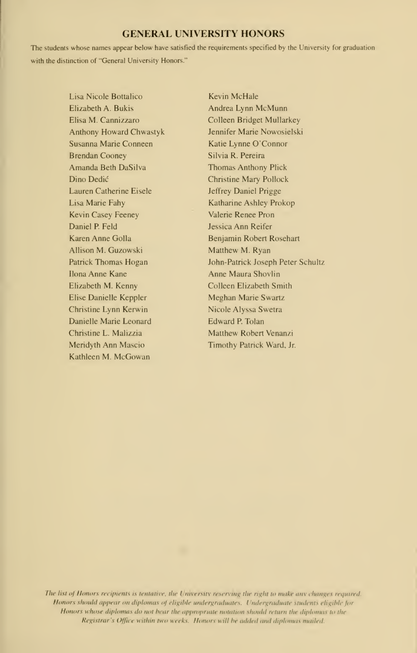## GENERAL UNIVERSITY HONORS

The students whose names appear below have satisfied the requirements specified by the University for graduation with the distinction of "General University Honors."

> Lisa Nicole Bottalico Elizabeth A. Bukis Elisa M. Cannizzaro Anthony Howard Chwastyk Susanna Marie Conneen Brendan Cooney Amanda Beth DaSilva Dino Dedic Lauren Catherine Eisele Lisa Marie Fahy Kevin Casey Feeney Daniel P. Feld Karen Anne Golla Allison M. Guzowski Patrick Thomas Hogan Ilona Anne Kane Elizabeth M. Kenny Elise Danielle Keppler Christine Lynn Kerwin Danielle Marie Leonard Christine L. Malizzia Meridyth Ann Mascio Kathleen M. McGowan

Kevin McHale Andrea Lynn McMunn Colleen Bridget Mullarkey Jennifer Marie Nowosielski Katie Lynne O'Connor Silvia R. Pereira Thomas Anthony Plick Christine Mary Pollock Jeffrey Daniel Prigge Katharine Ashley Prokop Valerie Renee Pron Jessica Ann Reifer Benjamin Robert Rosehart Matthew M. Ryan John-Patrick Joseph Peter Schultz Anne Maura Shovlin Colleen Elizabeth Smith Meghan Marie Swartz Nicole Alyssa Swetra Edward P. Tolan Matthew Robert Venanzi Timothy Patrick Ward. Jr.

The list of Honors recipients is tentative, the University reserving the right to make any changes required. Honors should appear on diplomas of eligible undergraduates. Undergraduate students eligible for Honors whose diplomas do not bear the appropriate notation should return the diplomas to the Registrar's Office within two weeks. Honors will be added and diplomas mailed.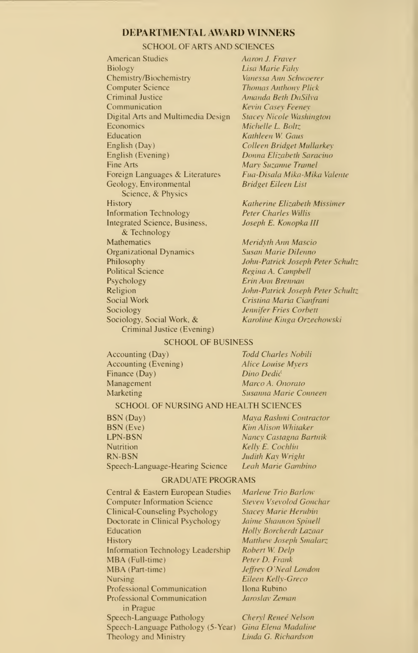#### DEPARTMENTAL AWARD WINNERS

#### SCHOOL OF ARTS AND SCIENCES

American Studies **Biology** Chemistry/Biochemistr) Computer Science Criminal Justice Communication Digital Arts and Multimedia Design **Economics** Education English (Day) English (Evening) Fine Arts Foreign Languages & Literatures Geology. Environmental Science. & Physics **History** Information Technology Integrated Science, Business. & Technology Mathematics Organizational Dynamics Philosophy Political Science Psychology Religion Social Work Sociology Sociology, Social Work. & Criminal Justice (Evening)

Aaron J. Eraver Lisa Marie Eahx Vanessa Ann Schwoerer Thomas Anthony Flick Amanda Beth DaSilva Kevin Casey Feeney Stacey Nicole Washington Michelle L. Boltz Kathleen W. Gaus Colleen Bridget Mullarkex Donna Elizabeth Saracino Mary Suzanne Tramel Fua-Disala Mika-Mika Valente Bridget Eileen List

Katherine Elizabeth Missimer Peter Charles Willis Joseph E. Konopka III

Meridyth Ann Mascio Susan Marie Dilenno John-Patrick Joseph Peter Schultz Regina A. Campbell Erin Ann Brennan John-Patrick Joseph Peter Schultz Cristina Maria Cianfrani Jennifer Erics Corbett Karoline Kinga Orzechowski

#### SCHOOL OF BUSINESS

Accounting (Day) Accounting (Evening) Finance (Day) Management Marketing

Todd Charles Nobili Alice Louise Myers Dino Dedic Marco A. Onorato Susanna Marie Conneen

#### SCHOOL OF NURSING AND HEALTH SCIENCES

**BSN (Day)** Maya Rashmi Contractor<br> **BSN (Eve)** Kim Alison Whitaker **BSN** (Eve) Kim Alison Whitaker<br> **LPN-BSN** Mancy Castagna Bar Nutrition Kelly E. Cochlin RN-BSN Judith Kay Wright<br>Speech-Language-Hearing Science Leah Marie Gambino Speech-Language-Hearing Science

Nancy Castagna Bartnik

Gonchar erubin

Lazaar Smalarz<sup>,</sup>

#### GRADUATE PROGRAMS

| Central & Eastern European Studies  | Marlene Trio Barlow           |
|-------------------------------------|-------------------------------|
| <b>Computer Information Science</b> | Steven Vsevolod Goucha        |
| Clinical-Counseling Psychology      | <b>Stacey Marie Herubin</b>   |
| Doctorate in Clinical Psychology    | Jaime Shannon Spinell         |
| Education                           | Holly Borcherdt Lazaar        |
| <b>History</b>                      | <b>Matthew Joseph Smalar:</b> |
| Information Technology Leadership   | Robert W. Delp                |
| MBA (Full-time)                     | Peter D. Frank                |
| MBA (Part-time)                     | Jeffrey O'Neal London         |
| Nursing                             | Eileen Kelly-Greco            |
| <b>Professional Communication</b>   | Ilona Rubino                  |
| <b>Professional Communication</b>   | Jaroslav Zeman                |
| in Prague                           |                               |
| Speech-Language Pathology           | Cheryl Reneé Nelson           |
| Speech-Language Pathology (5-Year)  | Gina Elena Madaline           |
| Theology and Ministry               | Linda G. Richardson           |